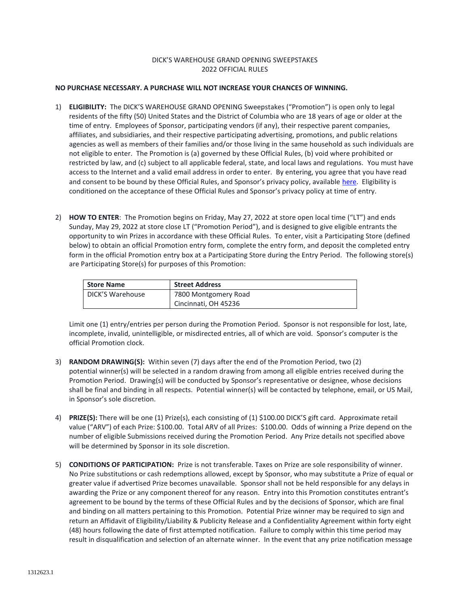## DICK'S WAREHOUSE GRAND OPENING SWEEPSTAKES 2022 OFFICIAL RULES

## **NO PURCHASE NECESSARY. A PURCHASE WILL NOT INCREASE YOUR CHANCES OF WINNING.**

- 1) **ELIGIBILITY:** The DICK'S WAREHOUSE GRAND OPENING Sweepstakes ("Promotion") is open only to legal residents of the fifty (50) United States and the District of Columbia who are 18 years of age or older at the time of entry. Employees of Sponsor, participating vendors (if any), their respective parent companies, affiliates, and subsidiaries, and their respective participating advertising, promotions, and public relations agencies as well as members of their families and/or those living in the same household as such individuals are not eligible to enter. The Promotion is (a) governed by these Official Rules, (b) void where prohibited or restricted by law, and (c) subject to all applicable federal, state, and local laws and regulations. You must have access to the Internet and a valid email address in order to enter. By entering, you agree that you have read and consent to be bound by these Official Rules, and Sponsor's privacy policy, available [here.](https://www.dickssportinggoods.com/s/privacy-policy) Eligibility is conditioned on the acceptance of these Official Rules and Sponsor's privacy policy at time of entry.
- 2) **HOW TO ENTER**: The Promotion begins on Friday, May 27, 2022 at store open local time ("LT") and ends Sunday, May 29, 2022 at store close LT ("Promotion Period"), and is designed to give eligible entrants the opportunity to win Prizes in accordance with these Official Rules. To enter, visit a Participating Store (defined below) to obtain an official Promotion entry form, complete the entry form, and deposit the completed entry form in the official Promotion entry box at a Participating Store during the Entry Period. The following store(s) are Participating Store(s) for purposes of this Promotion:

| <b>Store Name</b> | <b>Street Address</b> |
|-------------------|-----------------------|
| DICK'S Warehouse  | 7800 Montgomery Road  |
|                   | Cincinnati, OH 45236  |

Limit one (1) entry/entries per person during the Promotion Period. Sponsor is not responsible for lost, late, incomplete, invalid, unintelligible, or misdirected entries, all of which are void. Sponsor's computer is the official Promotion clock.

- 3) **RANDOM DRAWING(S):** Within seven (7) days after the end of the Promotion Period, two (2) potential winner(s) will be selected in a random drawing from among all eligible entries received during the Promotion Period. Drawing(s) will be conducted by Sponsor's representative or designee, whose decisions shall be final and binding in all respects. Potential winner(s) will be contacted by telephone, email, or US Mail, in Sponsor's sole discretion.
- 4) **PRIZE(S):** There will be one (1) Prize(s), each consisting of (1) \$100.00 DICK'S gift card. Approximate retail value ("ARV") of each Prize: \$100.00. Total ARV of all Prizes: \$100.00. Odds of winning a Prize depend on the number of eligible Submissions received during the Promotion Period. Any Prize details not specified above will be determined by Sponsor in its sole discretion.
- 5) **CONDITIONS OF PARTICIPATION:** Prize is not transferable. Taxes on Prize are sole responsibility of winner. No Prize substitutions or cash redemptions allowed, except by Sponsor, who may substitute a Prize of equal or greater value if advertised Prize becomes unavailable. Sponsor shall not be held responsible for any delays in awarding the Prize or any component thereof for any reason. Entry into this Promotion constitutes entrant's agreement to be bound by the terms of these Official Rules and by the decisions of Sponsor, which are final and binding on all matters pertaining to this Promotion. Potential Prize winner may be required to sign and return an Affidavit of Eligibility/Liability & Publicity Release and a Confidentiality Agreement within forty eight (48) hours following the date of first attempted notification. Failure to comply within this time period may result in disqualification and selection of an alternate winner. In the event that any prize notification message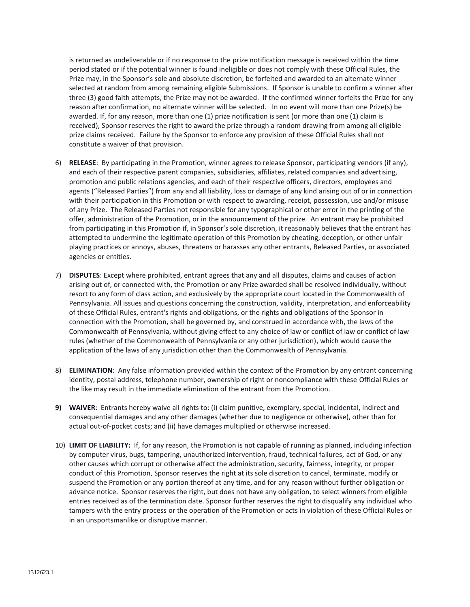is returned as undeliverable or if no response to the prize notification message is received within the time period stated or if the potential winner is found ineligible or does not comply with these Official Rules, the Prize may, in the Sponsor's sole and absolute discretion, be forfeited and awarded to an alternate winner selected at random from among remaining eligible Submissions. If Sponsor is unable to confirm a winner after three (3) good faith attempts, the Prize may not be awarded. If the confirmed winner forfeits the Prize for any reason after confirmation, no alternate winner will be selected. In no event will more than one Prize(s) be awarded. If, for any reason, more than one (1) prize notification is sent (or more than one (1) claim is received), Sponsor reserves the right to award the prize through a random drawing from among all eligible prize claims received. Failure by the Sponsor to enforce any provision of these Official Rules shall not constitute a waiver of that provision.

- 6) **RELEASE**: By participating in the Promotion, winner agrees to release Sponsor, participating vendors (if any), and each of their respective parent companies, subsidiaries, affiliates, related companies and advertising, promotion and public relations agencies, and each of their respective officers, directors, employees and agents ("Released Parties") from any and all liability, loss or damage of any kind arising out of or in connection with their participation in this Promotion or with respect to awarding, receipt, possession, use and/or misuse of any Prize. The Released Parties not responsible for any typographical or other error in the printing of the offer, administration of the Promotion, or in the announcement of the prize. An entrant may be prohibited from participating in this Promotion if, in Sponsor's sole discretion, it reasonably believes that the entrant has attempted to undermine the legitimate operation of this Promotion by cheating, deception, or other unfair playing practices or annoys, abuses, threatens or harasses any other entrants, Released Parties, or associated agencies or entities.
- 7) **DISPUTES**: Except where prohibited, entrant agrees that any and all disputes, claims and causes of action arising out of, or connected with, the Promotion or any Prize awarded shall be resolved individually, without resort to any form of class action, and exclusively by the appropriate court located in the Commonwealth of Pennsylvania. All issues and questions concerning the construction, validity, interpretation, and enforceability of these Official Rules, entrant's rights and obligations, or the rights and obligations of the Sponsor in connection with the Promotion, shall be governed by, and construed in accordance with, the laws of the Commonwealth of Pennsylvania, without giving effect to any choice of law or conflict of law or conflict of law rules (whether of the Commonwealth of Pennsylvania or any other jurisdiction), which would cause the application of the laws of any jurisdiction other than the Commonwealth of Pennsylvania.
- 8) **ELIMINATION**: Any false information provided within the context of the Promotion by any entrant concerning identity, postal address, telephone number, ownership of right or noncompliance with these Official Rules or the like may result in the immediate elimination of the entrant from the Promotion.
- **9) WAIVER**: Entrants hereby waive all rights to: (i) claim punitive, exemplary, special, incidental, indirect and consequential damages and any other damages (whether due to negligence or otherwise), other than for actual out-of-pocket costs; and (ii) have damages multiplied or otherwise increased.
- 10) **LIMIT OF LIABILITY:** If, for any reason, the Promotion is not capable of running as planned, including infection by computer virus, bugs, tampering, unauthorized intervention, fraud, technical failures, act of God, or any other causes which corrupt or otherwise affect the administration, security, fairness, integrity, or proper conduct of this Promotion, Sponsor reserves the right at its sole discretion to cancel, terminate, modify or suspend the Promotion or any portion thereof at any time, and for any reason without further obligation or advance notice. Sponsor reserves the right, but does not have any obligation, to select winners from eligible entries received as of the termination date. Sponsor further reserves the right to disqualify any individual who tampers with the entry process or the operation of the Promotion or acts in violation of these Official Rules or in an unsportsmanlike or disruptive manner.